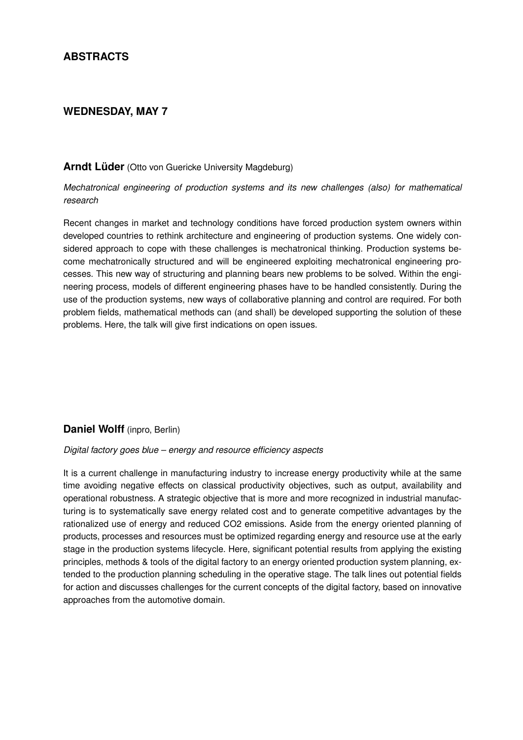# **ABSTRACTS**

## **WEDNESDAY, MAY 7**

#### **Arndt Lüder** (Otto von Guericke University Magdeburg)

*Mechatronical engineering of production systems and its new challenges (also) for mathematical research*

Recent changes in market and technology conditions have forced production system owners within developed countries to rethink architecture and engineering of production systems. One widely considered approach to cope with these challenges is mechatronical thinking. Production systems become mechatronically structured and will be engineered exploiting mechatronical engineering processes. This new way of structuring and planning bears new problems to be solved. Within the engineering process, models of different engineering phases have to be handled consistently. During the use of the production systems, new ways of collaborative planning and control are required. For both problem fields, mathematical methods can (and shall) be developed supporting the solution of these problems. Here, the talk will give first indications on open issues.

## **Daniel Wolff** (inpro, Berlin)

### *Digital factory goes blue – energy and resource efficiency aspects*

It is a current challenge in manufacturing industry to increase energy productivity while at the same time avoiding negative effects on classical productivity objectives, such as output, availability and operational robustness. A strategic objective that is more and more recognized in industrial manufacturing is to systematically save energy related cost and to generate competitive advantages by the rationalized use of energy and reduced CO2 emissions. Aside from the energy oriented planning of products, processes and resources must be optimized regarding energy and resource use at the early stage in the production systems lifecycle. Here, significant potential results from applying the existing principles, methods & tools of the digital factory to an energy oriented production system planning, extended to the production planning scheduling in the operative stage. The talk lines out potential fields for action and discusses challenges for the current concepts of the digital factory, based on innovative approaches from the automotive domain.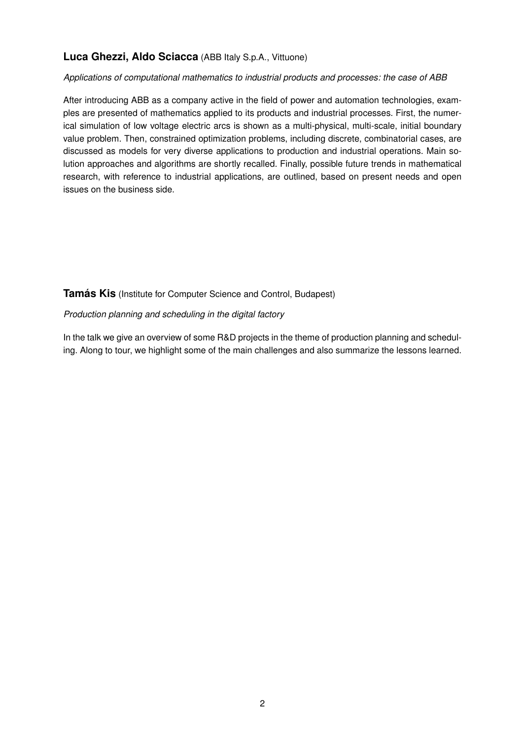# **Luca Ghezzi, Aldo Sciacca** (ABB Italy S.p.A., Vittuone)

### *Applications of computational mathematics to industrial products and processes: the case of ABB*

After introducing ABB as a company active in the field of power and automation technologies, examples are presented of mathematics applied to its products and industrial processes. First, the numerical simulation of low voltage electric arcs is shown as a multi-physical, multi-scale, initial boundary value problem. Then, constrained optimization problems, including discrete, combinatorial cases, are discussed as models for very diverse applications to production and industrial operations. Main solution approaches and algorithms are shortly recalled. Finally, possible future trends in mathematical research, with reference to industrial applications, are outlined, based on present needs and open issues on the business side.

**Tamás Kis** (Institute for Computer Science and Control, Budapest)

#### *Production planning and scheduling in the digital factory*

In the talk we give an overview of some R&D projects in the theme of production planning and scheduling. Along to tour, we highlight some of the main challenges and also summarize the lessons learned.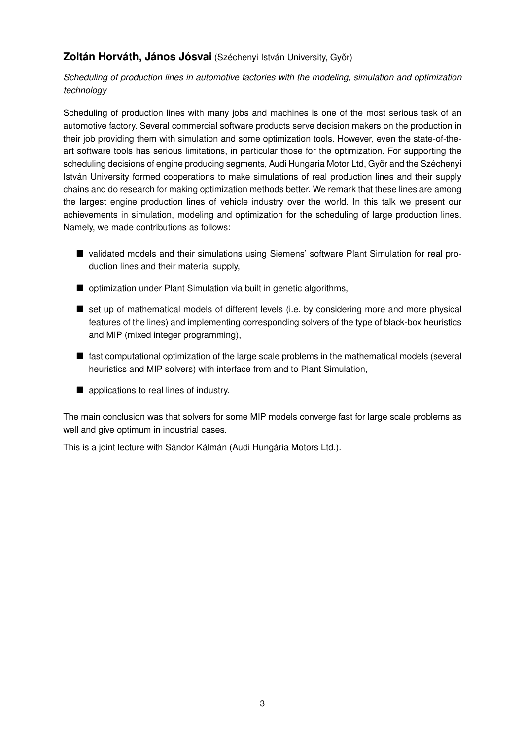# **Zoltán Horváth, János Jósvai** (Széchenyi István University, Győr)

*Scheduling of production lines in automotive factories with the modeling, simulation and optimization technology*

Scheduling of production lines with many jobs and machines is one of the most serious task of an automotive factory. Several commercial software products serve decision makers on the production in their job providing them with simulation and some optimization tools. However, even the state-of-theart software tools has serious limitations, in particular those for the optimization. For supporting the scheduling decisions of engine producing segments, Audi Hungaria Motor Ltd, Győr and the Széchenyi István University formed cooperations to make simulations of real production lines and their supply chains and do research for making optimization methods better. We remark that these lines are among the largest engine production lines of vehicle industry over the world. In this talk we present our achievements in simulation, modeling and optimization for the scheduling of large production lines. Namely, we made contributions as follows:

- validated models and their simulations using Siemens' software Plant Simulation for real production lines and their material supply,
- optimization under Plant Simulation via built in genetic algorithms,
- set up of mathematical models of different levels (i.e. by considering more and more physical features of the lines) and implementing corresponding solvers of the type of black-box heuristics and MIP (mixed integer programming),
- fast computational optimization of the large scale problems in the mathematical models (several heuristics and MIP solvers) with interface from and to Plant Simulation,
- applications to real lines of industry.

The main conclusion was that solvers for some MIP models converge fast for large scale problems as well and give optimum in industrial cases.

This is a joint lecture with Sándor Kálmán (Audi Hungária Motors Ltd.).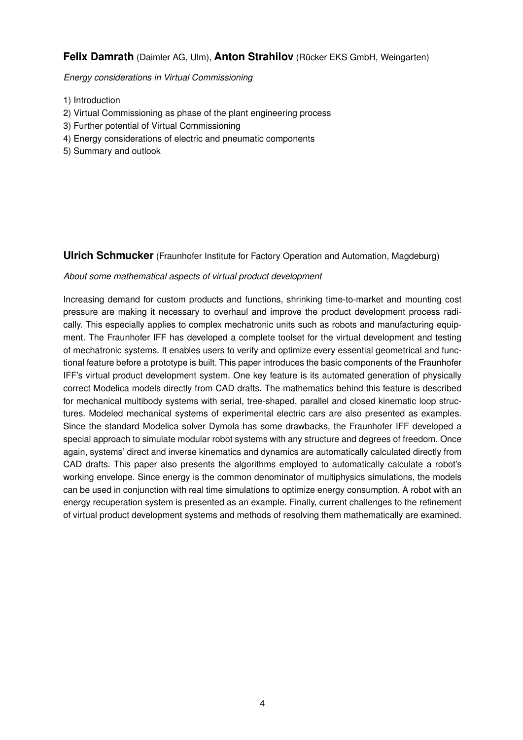## **Felix Damrath** (Daimler AG, Ulm), **Anton Strahilov** (Rücker EKS GmbH, Weingarten)

*Energy considerations in Virtual Commissioning*

- 1) Introduction
- 2) Virtual Commissioning as phase of the plant engineering process
- 3) Further potential of Virtual Commissioning
- 4) Energy considerations of electric and pneumatic components
- 5) Summary and outlook

**Ulrich Schmucker** (Fraunhofer Institute for Factory Operation and Automation, Magdeburg)

#### *About some mathematical aspects of virtual product development*

Increasing demand for custom products and functions, shrinking time-to-market and mounting cost pressure are making it necessary to overhaul and improve the product development process radically. This especially applies to complex mechatronic units such as robots and manufacturing equipment. The Fraunhofer IFF has developed a complete toolset for the virtual development and testing of mechatronic systems. It enables users to verify and optimize every essential geometrical and functional feature before a prototype is built. This paper introduces the basic components of the Fraunhofer IFF's virtual product development system. One key feature is its automated generation of physically correct Modelica models directly from CAD drafts. The mathematics behind this feature is described for mechanical multibody systems with serial, tree-shaped, parallel and closed kinematic loop structures. Modeled mechanical systems of experimental electric cars are also presented as examples. Since the standard Modelica solver Dymola has some drawbacks, the Fraunhofer IFF developed a special approach to simulate modular robot systems with any structure and degrees of freedom. Once again, systems' direct and inverse kinematics and dynamics are automatically calculated directly from CAD drafts. This paper also presents the algorithms employed to automatically calculate a robot's working envelope. Since energy is the common denominator of multiphysics simulations, the models can be used in conjunction with real time simulations to optimize energy consumption. A robot with an energy recuperation system is presented as an example. Finally, current challenges to the refinement of virtual product development systems and methods of resolving them mathematically are examined.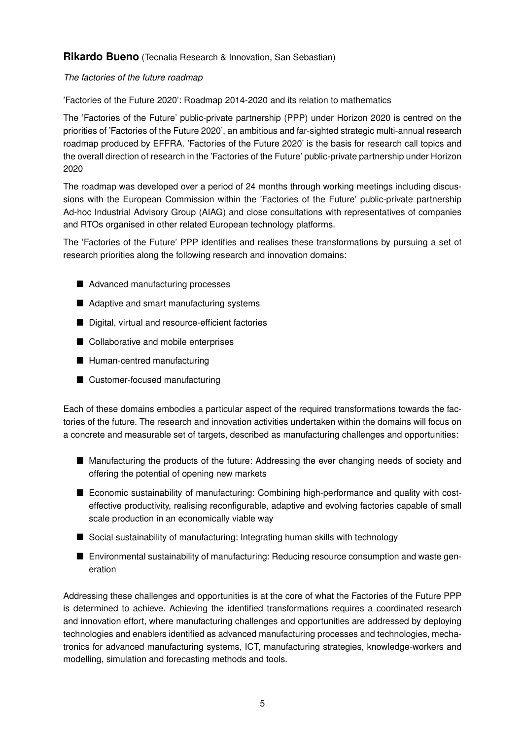## **Rikardo Bueno** (Tecnalia Research & Innovation, San Sebastian)

#### *The factories of the future roadmap*

'Factories of the Future 2020': Roadmap 2014-2020 and its relation to mathematics

The 'Factories of the Future' public-private partnership (PPP) under Horizon 2020 is centred on the priorities of 'Factories of the Future 2020', an ambitious and far-sighted strategic multi-annual research roadmap produced by EFFRA. 'Factories of the Future 2020' is the basis for research call topics and the overall direction of research in the 'Factories of the Future' public-private partnership under Horizon 2020

The roadmap was developed over a period of 24 months through working meetings including discussions with the European Commission within the 'Factories of the Future' public-private partnership Ad-hoc Industrial Advisory Group (AIAG) and close consultations with representatives of companies and RTOs organised in other related European technology platforms.

The 'Factories of the Future' PPP identifies and realises these transformations by pursuing a set of research priorities along the following research and innovation domains:

- Advanced manufacturing processes
- Adaptive and smart manufacturing systems
- Digital, virtual and resource-efficient factories
- Collaborative and mobile enterprises
- Human-centred manufacturing
- Customer-focused manufacturing

Each of these domains embodies a particular aspect of the required transformations towards the factories of the future. The research and innovation activities undertaken within the domains will focus on a concrete and measurable set of targets, described as manufacturing challenges and opportunities:

- Manufacturing the products of the future: Addressing the ever changing needs of society and offering the potential of opening new markets
- Economic sustainability of manufacturing: Combining high-performance and quality with costeffective productivity, realising reconfigurable, adaptive and evolving factories capable of small scale production in an economically viable way
- Social sustainability of manufacturing: Integrating human skills with technology
- Environmental sustainability of manufacturing: Reducing resource consumption and waste generation

Addressing these challenges and opportunities is at the core of what the Factories of the Future PPP is determined to achieve. Achieving the identified transformations requires a coordinated research and innovation effort, where manufacturing challenges and opportunities are addressed by deploying technologies and enablers identified as advanced manufacturing processes and technologies, mechatronics for advanced manufacturing systems, ICT, manufacturing strategies, knowledge-workers and modelling, simulation and forecasting methods and tools.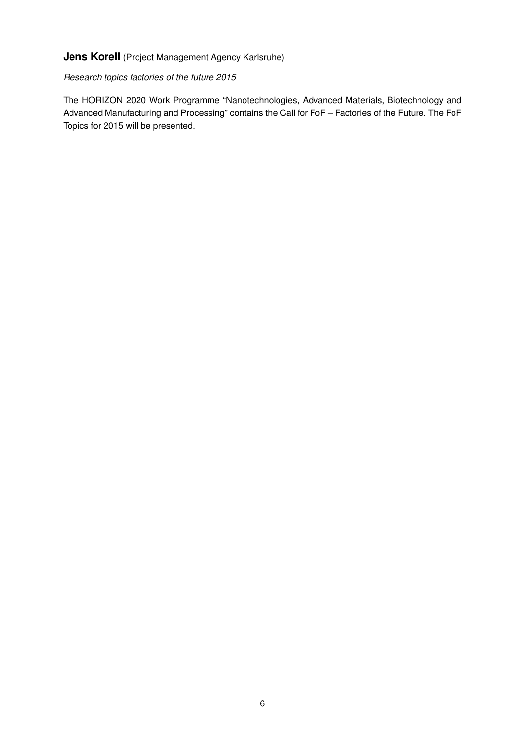# **Jens Korell** (Project Management Agency Karlsruhe)

### *Research topics factories of the future 2015*

The HORIZON 2020 Work Programme "Nanotechnologies, Advanced Materials, Biotechnology and Advanced Manufacturing and Processing" contains the Call for FoF – Factories of the Future. The FoF Topics for 2015 will be presented.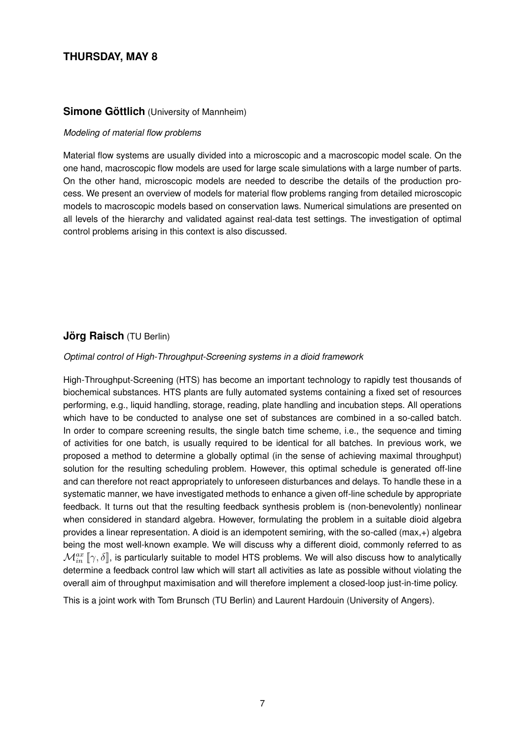# **THURSDAY, MAY 8**

## **Simone Göttlich** (University of Mannheim)

#### *Modeling of material flow problems*

Material flow systems are usually divided into a microscopic and a macroscopic model scale. On the one hand, macroscopic flow models are used for large scale simulations with a large number of parts. On the other hand, microscopic models are needed to describe the details of the production process. We present an overview of models for material flow problems ranging from detailed microscopic models to macroscopic models based on conservation laws. Numerical simulations are presented on all levels of the hierarchy and validated against real-data test settings. The investigation of optimal control problems arising in this context is also discussed.

## **Jörg Raisch** (TU Berlin)

#### *Optimal control of High-Throughput-Screening systems in a dioid framework*

High-Throughput-Screening (HTS) has become an important technology to rapidly test thousands of biochemical substances. HTS plants are fully automated systems containing a fixed set of resources performing, e.g., liquid handling, storage, reading, plate handling and incubation steps. All operations which have to be conducted to analyse one set of substances are combined in a so-called batch. In order to compare screening results, the single batch time scheme, i.e., the sequence and timing of activities for one batch, is usually required to be identical for all batches. In previous work, we proposed a method to determine a globally optimal (in the sense of achieving maximal throughput) solution for the resulting scheduling problem. However, this optimal schedule is generated off-line and can therefore not react appropriately to unforeseen disturbances and delays. To handle these in a systematic manner, we have investigated methods to enhance a given off-line schedule by appropriate feedback. It turns out that the resulting feedback synthesis problem is (non-benevolently) nonlinear when considered in standard algebra. However, formulating the problem in a suitable dioid algebra provides a linear representation. A dioid is an idempotent semiring, with the so-called (max,+) algebra being the most well-known example. We will discuss why a different dioid, commonly referred to as  $\mathcal{M}_{in}^{ax}\llbracket\gamma,\delta\rrbracket$ , is particularly suitable to model HTS problems. We will also discuss how to analytically determine a feedback control law which will start all activities as late as possible without violating the overall aim of throughput maximisation and will therefore implement a closed-loop just-in-time policy.

This is a joint work with Tom Brunsch (TU Berlin) and Laurent Hardouin (University of Angers).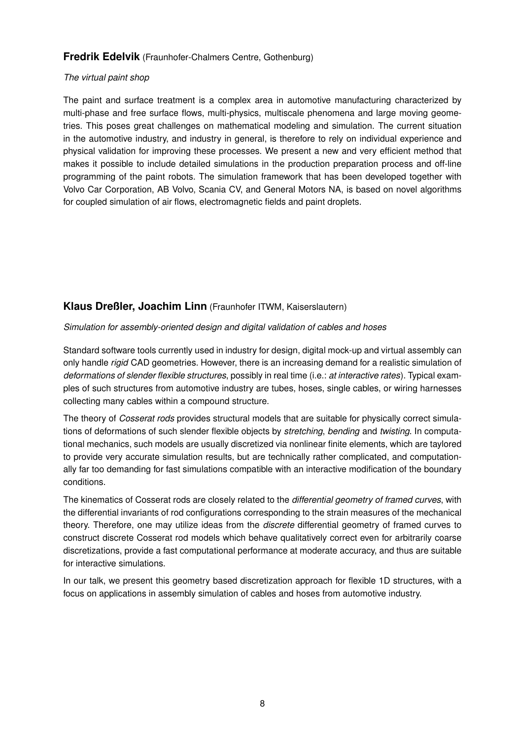## **Fredrik Edelvik** (Fraunhofer-Chalmers Centre, Gothenburg)

#### *The virtual paint shop*

The paint and surface treatment is a complex area in automotive manufacturing characterized by multi-phase and free surface flows, multi-physics, multiscale phenomena and large moving geometries. This poses great challenges on mathematical modeling and simulation. The current situation in the automotive industry, and industry in general, is therefore to rely on individual experience and physical validation for improving these processes. We present a new and very efficient method that makes it possible to include detailed simulations in the production preparation process and off-line programming of the paint robots. The simulation framework that has been developed together with Volvo Car Corporation, AB Volvo, Scania CV, and General Motors NA, is based on novel algorithms for coupled simulation of air flows, electromagnetic fields and paint droplets.

## **Klaus Dreßler, Joachim Linn** (Fraunhofer ITWM, Kaiserslautern)

### *Simulation for assembly-oriented design and digital validation of cables and hoses*

Standard software tools currently used in industry for design, digital mock-up and virtual assembly can only handle *rigid* CAD geometries. However, there is an increasing demand for a realistic simulation of *deformations of slender flexible structures*, possibly in real time (i.e.: *at interactive rates*). Typical examples of such structures from automotive industry are tubes, hoses, single cables, or wiring harnesses collecting many cables within a compound structure.

The theory of *Cosserat rods* provides structural models that are suitable for physically correct simulations of deformations of such slender flexible objects by *stretching*, *bending* and *twisting*. In computational mechanics, such models are usually discretized via nonlinear finite elements, which are taylored to provide very accurate simulation results, but are technically rather complicated, and computationally far too demanding for fast simulations compatible with an interactive modification of the boundary conditions.

The kinematics of Cosserat rods are closely related to the *differential geometry of framed curves*, with the differential invariants of rod configurations corresponding to the strain measures of the mechanical theory. Therefore, one may utilize ideas from the *discrete* differential geometry of framed curves to construct discrete Cosserat rod models which behave qualitatively correct even for arbitrarily coarse discretizations, provide a fast computational performance at moderate accuracy, and thus are suitable for interactive simulations.

In our talk, we present this geometry based discretization approach for flexible 1D structures, with a focus on applications in assembly simulation of cables and hoses from automotive industry.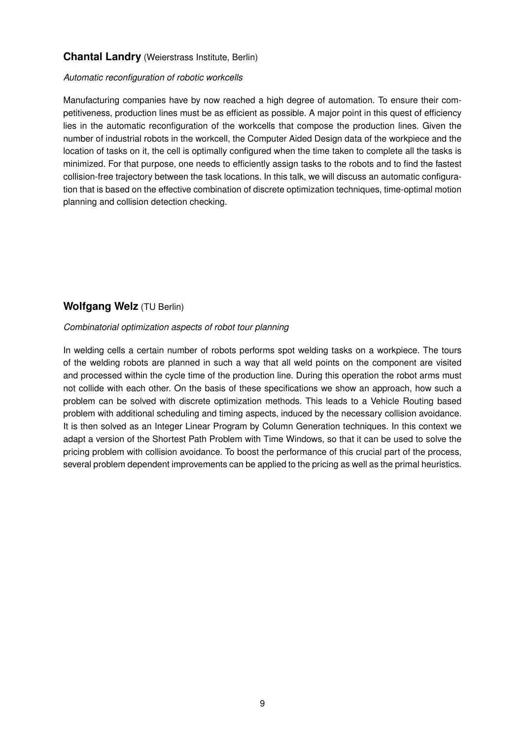## **Chantal Landry** (Weierstrass Institute, Berlin)

#### *Automatic reconfiguration of robotic workcells*

Manufacturing companies have by now reached a high degree of automation. To ensure their competitiveness, production lines must be as efficient as possible. A major point in this quest of efficiency lies in the automatic reconfiguration of the workcells that compose the production lines. Given the number of industrial robots in the workcell, the Computer Aided Design data of the workpiece and the location of tasks on it, the cell is optimally configured when the time taken to complete all the tasks is minimized. For that purpose, one needs to efficiently assign tasks to the robots and to find the fastest collision-free trajectory between the task locations. In this talk, we will discuss an automatic configuration that is based on the effective combination of discrete optimization techniques, time-optimal motion planning and collision detection checking.

## **Wolfgang Welz** (TU Berlin)

#### *Combinatorial optimization aspects of robot tour planning*

In welding cells a certain number of robots performs spot welding tasks on a workpiece. The tours of the welding robots are planned in such a way that all weld points on the component are visited and processed within the cycle time of the production line. During this operation the robot arms must not collide with each other. On the basis of these specifications we show an approach, how such a problem can be solved with discrete optimization methods. This leads to a Vehicle Routing based problem with additional scheduling and timing aspects, induced by the necessary collision avoidance. It is then solved as an Integer Linear Program by Column Generation techniques. In this context we adapt a version of the Shortest Path Problem with Time Windows, so that it can be used to solve the pricing problem with collision avoidance. To boost the performance of this crucial part of the process, several problem dependent improvements can be applied to the pricing as well as the primal heuristics.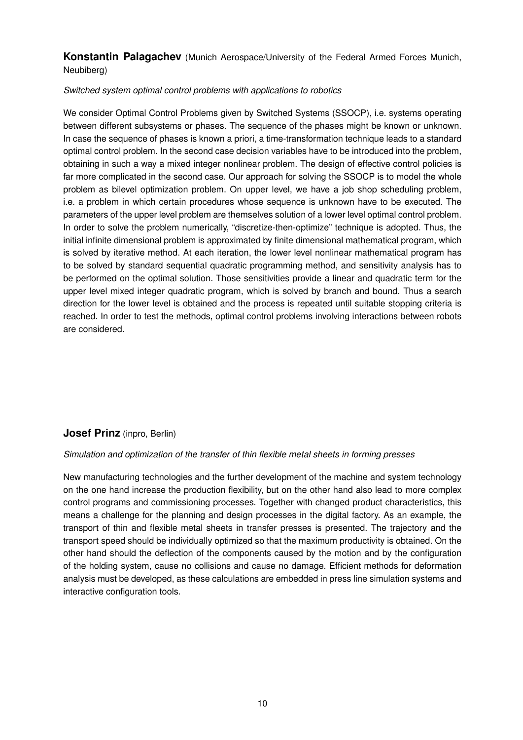## **Konstantin Palagachev** (Munich Aerospace/University of the Federal Armed Forces Munich, Neubiberg)

### *Switched system optimal control problems with applications to robotics*

We consider Optimal Control Problems given by Switched Systems (SSOCP), i.e. systems operating between different subsystems or phases. The sequence of the phases might be known or unknown. In case the sequence of phases is known a priori, a time-transformation technique leads to a standard optimal control problem. In the second case decision variables have to be introduced into the problem, obtaining in such a way a mixed integer nonlinear problem. The design of effective control policies is far more complicated in the second case. Our approach for solving the SSOCP is to model the whole problem as bilevel optimization problem. On upper level, we have a job shop scheduling problem, i.e. a problem in which certain procedures whose sequence is unknown have to be executed. The parameters of the upper level problem are themselves solution of a lower level optimal control problem. In order to solve the problem numerically, "discretize-then-optimize" technique is adopted. Thus, the initial infinite dimensional problem is approximated by finite dimensional mathematical program, which is solved by iterative method. At each iteration, the lower level nonlinear mathematical program has to be solved by standard sequential quadratic programming method, and sensitivity analysis has to be performed on the optimal solution. Those sensitivities provide a linear and quadratic term for the upper level mixed integer quadratic program, which is solved by branch and bound. Thus a search direction for the lower level is obtained and the process is repeated until suitable stopping criteria is reached. In order to test the methods, optimal control problems involving interactions between robots are considered.

## **Josef Prinz** (inpro, Berlin)

#### *Simulation and optimization of the transfer of thin flexible metal sheets in forming presses*

New manufacturing technologies and the further development of the machine and system technology on the one hand increase the production flexibility, but on the other hand also lead to more complex control programs and commissioning processes. Together with changed product characteristics, this means a challenge for the planning and design processes in the digital factory. As an example, the transport of thin and flexible metal sheets in transfer presses is presented. The trajectory and the transport speed should be individually optimized so that the maximum productivity is obtained. On the other hand should the deflection of the components caused by the motion and by the configuration of the holding system, cause no collisions and cause no damage. Efficient methods for deformation analysis must be developed, as these calculations are embedded in press line simulation systems and interactive configuration tools.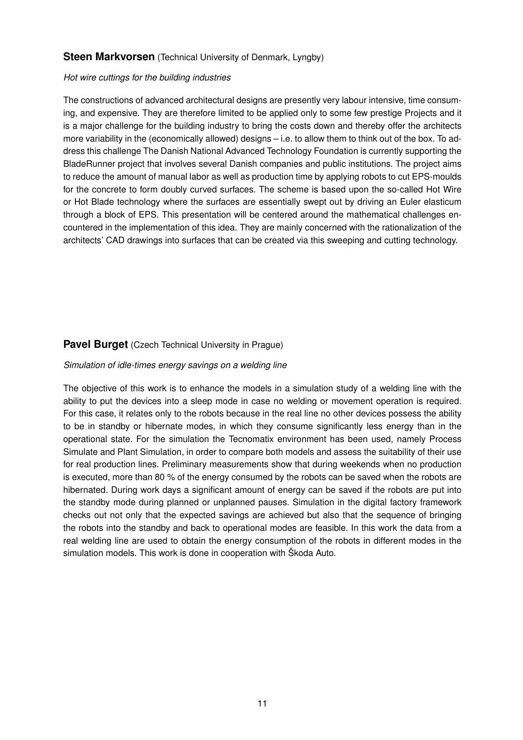## **Steen Markvorsen** (Technical University of Denmark, Lyngby)

#### *Hot wire cuttings for the building industries*

The constructions of advanced architectural designs are presently very labour intensive, time consuming, and expensive. They are therefore limited to be applied only to some few prestige Projects and it is a major challenge for the building industry to bring the costs down and thereby offer the architects more variability in the (economically allowed) designs – i.e. to allow them to think out of the box. To address this challenge The Danish National Advanced Technology Foundation is currently supporting the BladeRunner project that involves several Danish companies and public institutions. The project aims to reduce the amount of manual labor as well as production time by applying robots to cut EPS-moulds for the concrete to form doubly curved surfaces. The scheme is based upon the so-called Hot Wire or Hot Blade technology where the surfaces are essentially swept out by driving an Euler elasticum through a block of EPS. This presentation will be centered around the mathematical challenges encountered in the implementation of this idea. They are mainly concerned with the rationalization of the architects' CAD drawings into surfaces that can be created via this sweeping and cutting technology.

## **Pavel Burget** (Czech Technical University in Prague)

#### *Simulation of idle-times energy savings on a welding line*

The objective of this work is to enhance the models in a simulation study of a welding line with the ability to put the devices into a sleep mode in case no welding or movement operation is required. For this case, it relates only to the robots because in the real line no other devices possess the ability to be in standby or hibernate modes, in which they consume significantly less energy than in the operational state. For the simulation the Tecnomatix environment has been used, namely Process Simulate and Plant Simulation, in order to compare both models and assess the suitability of their use for real production lines. Preliminary measurements show that during weekends when no production is executed, more than 80 % of the energy consumed by the robots can be saved when the robots are hibernated. During work days a significant amount of energy can be saved if the robots are put into the standby mode during planned or unplanned pauses. Simulation in the digital factory framework checks out not only that the expected savings are achieved but also that the sequence of bringing the robots into the standby and back to operational modes are feasible. In this work the data from a real welding line are used to obtain the energy consumption of the robots in different modes in the simulation models. This work is done in cooperation with Škoda Auto.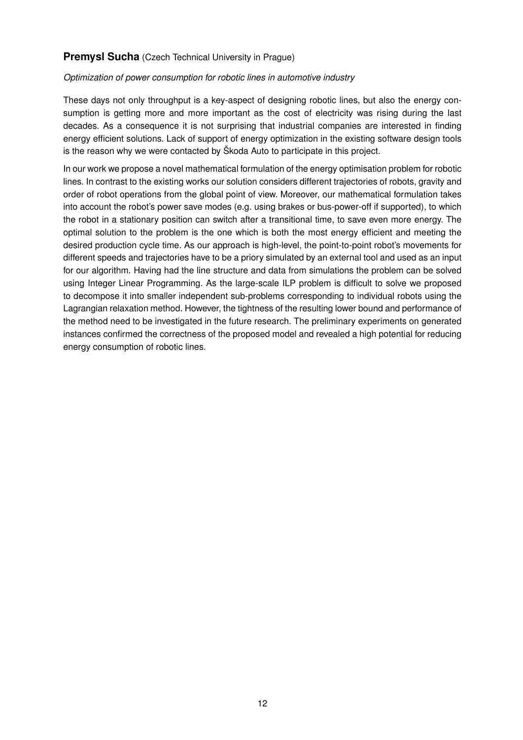## **Premysl Sucha** (Czech Technical University in Prague)

### *Optimization of power consumption for robotic lines in automotive industry*

These days not only throughput is a key-aspect of designing robotic lines, but also the energy consumption is getting more and more important as the cost of electricity was rising during the last decades. As a consequence it is not surprising that industrial companies are interested in finding energy efficient solutions. Lack of support of energy optimization in the existing software design tools is the reason why we were contacted by Škoda Auto to participate in this project.

In our work we propose a novel mathematical formulation of the energy optimisation problem for robotic lines. In contrast to the existing works our solution considers different trajectories of robots, gravity and order of robot operations from the global point of view. Moreover, our mathematical formulation takes into account the robot's power save modes (e.g. using brakes or bus-power-off if supported), to which the robot in a stationary position can switch after a transitional time, to save even more energy. The optimal solution to the problem is the one which is both the most energy efficient and meeting the desired production cycle time. As our approach is high-level, the point-to-point robot's movements for different speeds and trajectories have to be a priory simulated by an external tool and used as an input for our algorithm. Having had the line structure and data from simulations the problem can be solved using Integer Linear Programming. As the large-scale ILP problem is difficult to solve we proposed to decompose it into smaller independent sub-problems corresponding to individual robots using the Lagrangian relaxation method. However, the tightness of the resulting lower bound and performance of the method need to be investigated in the future research. The preliminary experiments on generated instances confirmed the correctness of the proposed model and revealed a high potential for reducing energy consumption of robotic lines.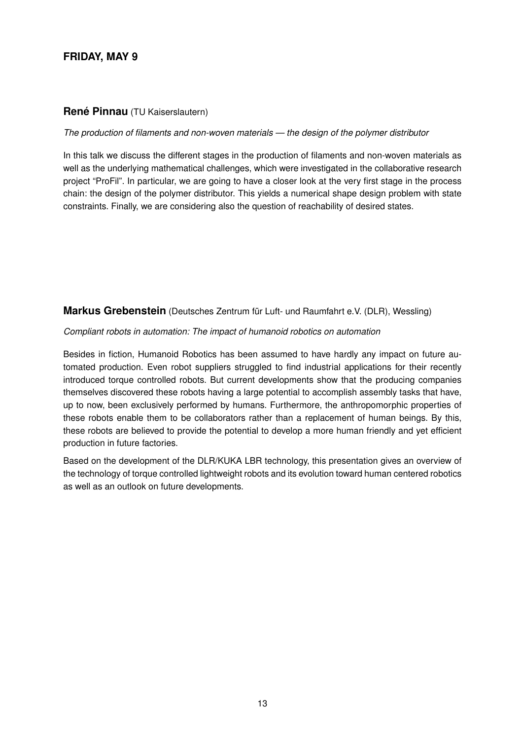# **FRIDAY, MAY 9**

## **René Pinnau** (TU Kaiserslautern)

#### *The production of filaments and non-woven materials — the design of the polymer distributor*

In this talk we discuss the different stages in the production of filaments and non-woven materials as well as the underlying mathematical challenges, which were investigated in the collaborative research project "ProFil". In particular, we are going to have a closer look at the very first stage in the process chain: the design of the polymer distributor. This yields a numerical shape design problem with state constraints. Finally, we are considering also the question of reachability of desired states.

## **Markus Grebenstein** (Deutsches Zentrum für Luft- und Raumfahrt e.V. (DLR), Wessling)

#### *Compliant robots in automation: The impact of humanoid robotics on automation*

Besides in fiction, Humanoid Robotics has been assumed to have hardly any impact on future automated production. Even robot suppliers struggled to find industrial applications for their recently introduced torque controlled robots. But current developments show that the producing companies themselves discovered these robots having a large potential to accomplish assembly tasks that have, up to now, been exclusively performed by humans. Furthermore, the anthropomorphic properties of these robots enable them to be collaborators rather than a replacement of human beings. By this, these robots are believed to provide the potential to develop a more human friendly and yet efficient production in future factories.

Based on the development of the DLR/KUKA LBR technology, this presentation gives an overview of the technology of torque controlled lightweight robots and its evolution toward human centered robotics as well as an outlook on future developments.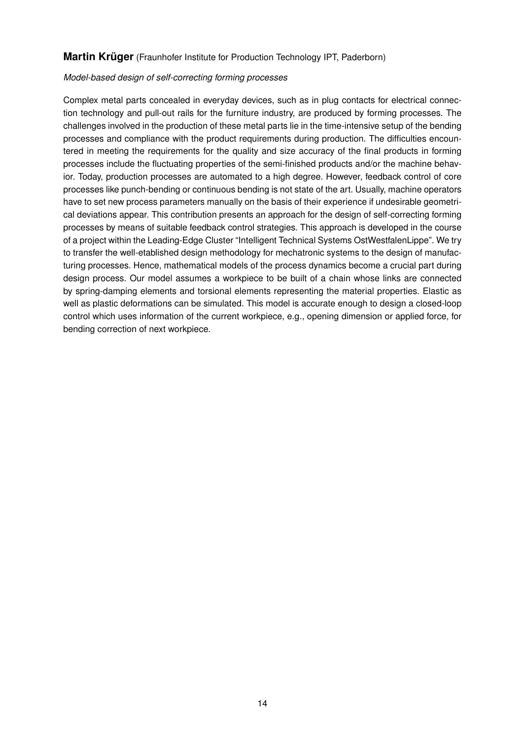## **Martin Krüger** (Fraunhofer Institute for Production Technology IPT, Paderborn)

#### *Model-based design of self-correcting forming processes*

Complex metal parts concealed in everyday devices, such as in plug contacts for electrical connection technology and pull-out rails for the furniture industry, are produced by forming processes. The challenges involved in the production of these metal parts lie in the time-intensive setup of the bending processes and compliance with the product requirements during production. The difficulties encountered in meeting the requirements for the quality and size accuracy of the final products in forming processes include the fluctuating properties of the semi-finished products and/or the machine behavior. Today, production processes are automated to a high degree. However, feedback control of core processes like punch-bending or continuous bending is not state of the art. Usually, machine operators have to set new process parameters manually on the basis of their experience if undesirable geometrical deviations appear. This contribution presents an approach for the design of self-correcting forming processes by means of suitable feedback control strategies. This approach is developed in the course of a project within the Leading-Edge Cluster "Intelligent Technical Systems OstWestfalenLippe". We try to transfer the well-etablished design methodology for mechatronic systems to the design of manufacturing processes. Hence, mathematical models of the process dynamics become a crucial part during design process. Our model assumes a workpiece to be built of a chain whose links are connected by spring-damping elements and torsional elements representing the material properties. Elastic as well as plastic deformations can be simulated. This model is accurate enough to design a closed-loop control which uses information of the current workpiece, e.g., opening dimension or applied force, for bending correction of next workpiece.